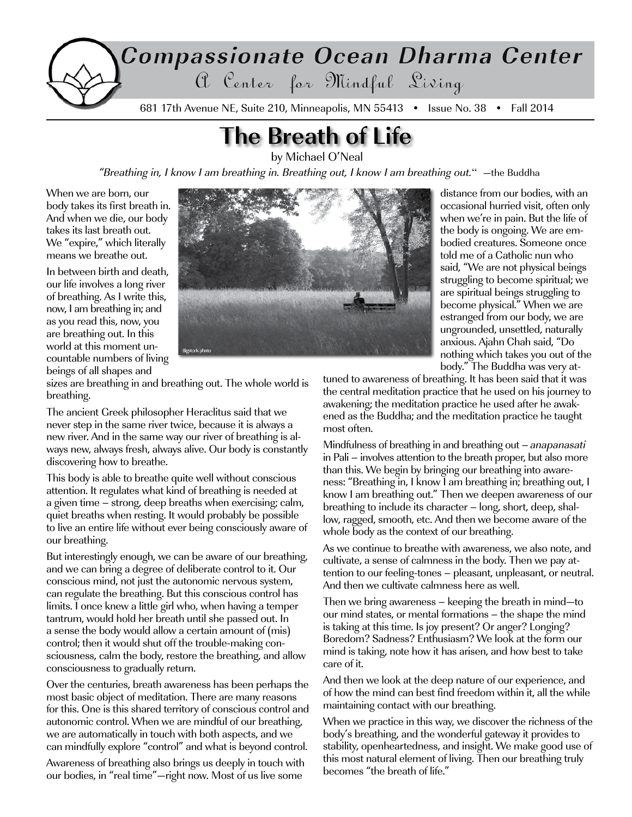

# **The Breath of Life**

by Michael O'Neal

"Breathing in, I know I am breathing in. Breathing out, I know I am breathing out." —the Buddha

When we are born, our body takes its first breath in. And when we die, our body takes its last breath out. We "expire," which literally means we breathe out.

In between birth and death, our life involves a long river of breathing. As I write this, now, I am breathing in; and as you read this, now, you are breathing out. In this world at this moment uncountable numbers of living beings of all shapes and



distance from our bodies, with an occasional hurried visit, often only when we're in pain. But the life of the body is ongoing. We are embodied creatures. Someone once told me of a Catholic nun who said, "We are not physical beings struggling to become spiritual; we are spiritual beings struggling to become physical." When we are estranged from our body, we are ungrounded, unsettled, naturally anxious. Ajahn Chah said, "Do nothing which takes you out of the body." The Buddha was very at-

sizes are breathing in and breathing out. The whole world is breathing.

The ancient Greek philosopher Heraclitus said that we never step in the same river twice, because it is always a new river. And in the same way our river of breathing is always new, always fresh, always alive. Our body is constantly discovering how to breathe.

This body is able to breathe quite well without conscious attention. It regulates what kind of breathing is needed at a given time – strong, deep breaths when exercising; calm, quiet breaths when resting. It would probably be possible to live an entire life without ever being consciously aware of our breathing.

But interestingly enough, we can be aware of our breathing, and we can bring a degree of deliberate control to it. Our conscious mind, not just the autonomic nervous system, can regulate the breathing. But this conscious control has limits. I once knew a little girl who, when having a temper tantrum, would hold her breath until she passed out. In a sense the body would allow a certain amount of (mis) control; then it would shut off the trouble-making consciousness, calm the body, restore the breathing, and allow consciousness to gradually return.

Over the centuries, breath awareness has been perhaps the most basic object of meditation. There are many reasons for this. One is this shared territory of conscious control and autonomic control. When we are mindful of our breathing, we are automatically in touch with both aspects, and we can mindfully explore "control" and what is beyond control.

Awareness of breathing also brings us deeply in touch with our bodies, in "real time"—right now. Most of us live some

tuned to awareness of breathing. It has been said that it was the central meditation practice that he used on his journey to awakening; the meditation practice he used after he awakened as the Buddha; and the meditation practice he taught most often.

Mindfulness of breathing in and breathing out – anapanasati in Pali – involves attention to the breath proper, but also more than this. We begin by bringing our breathing into awareness: "Breathing in, I know I am breathing in; breathing out, I know I am breathing out." Then we deepen awareness of our breathing to include its character – long, short, deep, shallow, ragged, smooth, etc. And then we become aware of the whole body as the context of our breathing.

As we continue to breathe with awareness, we also note, and cultivate, a sense of calmness in the body. Then we pay attention to our feeling-tones – pleasant, unpleasant, or neutral. And then we cultivate calmness here as well.

Then we bring awareness – keeping the breath in mind—to our mind states, or mental formations – the shape the mind is taking at this time. Is joy present? Or anger? Longing? Boredom? Sadness? Enthusiasm? We look at the form our mind is taking, note how it has arisen, and how best to take care of it.

And then we look at the deep nature of our experience, and of how the mind can best find freedom within it, all the while maintaining contact with our breathing.

When we practice in this way, we discover the richness of the body's breathing, and the wonderful gateway it provides to stability, openheartedness, and insight. We make good use of this most natural element of living. Then our breathing truly becomes "the breath of life."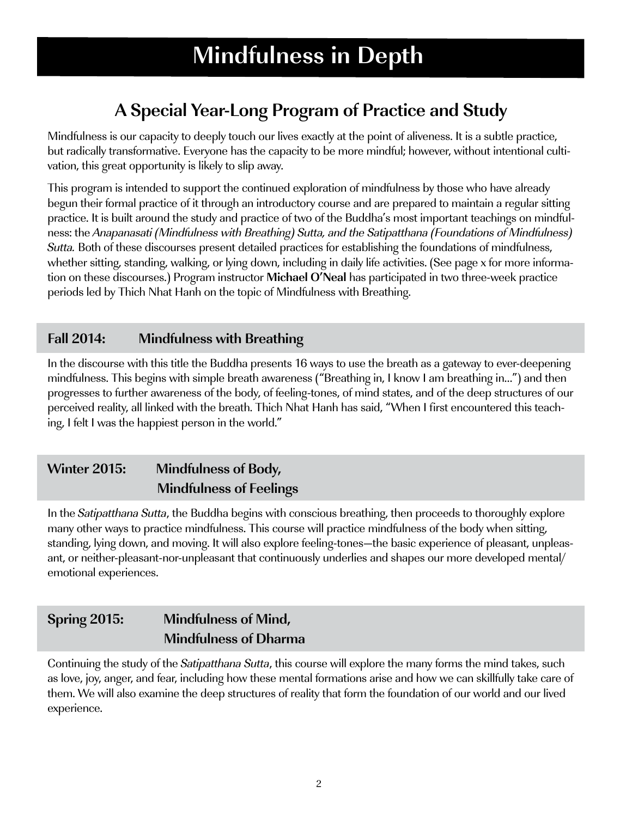# **Mindfulness in Depth**

## **A Special Year-Long Program of Practice and Study**

Mindfulness is our capacity to deeply touch our lives exactly at the point of aliveness. It is a subtle practice, but radically transformative. Everyone has the capacity to be more mindful; however, without intentional cultivation, this great opportunity is likely to slip away.

This program is intended to support the continued exploration of mindfulness by those who have already begun their formal practice of it through an introductory course and are prepared to maintain a regular sitting practice. It is built around the study and practice of two of the Buddha's most important teachings on mindfulness: the Anapanasati (Mindfulness with Breathing) Sutta, and the Satipatthana (Foundations of Mindfulness) Sutta. Both of these discourses present detailed practices for establishing the foundations of mindfulness, whether sitting, standing, walking, or lying down, including in daily life activities. (See page x for more information on these discourses.) Program instructor **Michael O'Neal** has participated in two three-week practice periods led by Thich Nhat Hanh on the topic of Mindfulness with Breathing.

### **Fall 2014: Mindfulness with Breathing**

In the discourse with this title the Buddha presents 16 ways to use the breath as a gateway to ever-deepening mindfulness. This begins with simple breath awareness ("Breathing in, I know I am breathing in…") and then progresses to further awareness of the body, of feeling-tones, of mind states, and of the deep structures of our perceived reality, all linked with the breath. Thich Nhat Hanh has said, "When I first encountered this teaching, I felt I was the happiest person in the world."

## **Winter 2015: Mindfulness of Body, Mindfulness of Feelings**

In the *Satipatthana Sutta*, the Buddha begins with conscious breathing, then proceeds to thoroughly explore many other ways to practice mindfulness. This course will practice mindfulness of the body when sitting, standing, lying down, and moving. It will also explore feeling-tones—the basic experience of pleasant, unpleasant, or neither-pleasant-nor-unpleasant that continuously underlies and shapes our more developed mental/ emotional experiences.

## **Spring 2015: Mindfulness of Mind, Mindfulness of Dharma**

Continuing the study of the Satipatthana Sutta, this course will explore the many forms the mind takes, such as love, joy, anger, and fear, including how these mental formations arise and how we can skillfully take care of them. We will also examine the deep structures of reality that form the foundation of our world and our lived experience.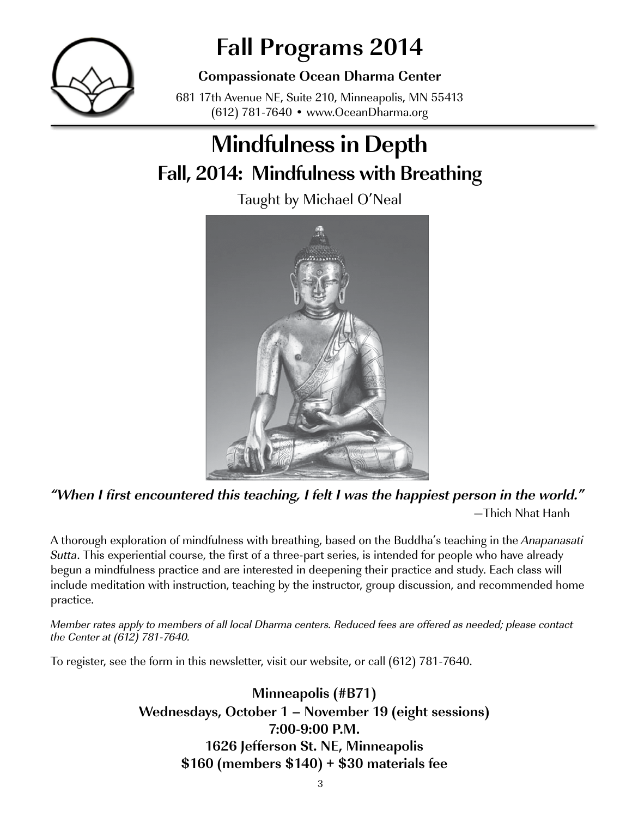

# **Fall Programs 2014**

**Compassionate Ocean Dharma Center**

681 17th Avenue NE, Suite 210, Minneapolis, MN 55413 (612) 781-7640 • www.OceanDharma.org

# **Mindfulness in Depth Fall, 2014: Mindfulness with Breathing**

Taught by Michael O'Neal



**"When I first encountered this teaching, I felt I was the happiest person in the world."** —Thich Nhat Hanh

A thorough exploration of mindfulness with breathing, based on the Buddha's teaching in the Anapanasati Sutta. This experiential course, the first of a three-part series, is intended for people who have already begun a mindfulness practice and are interested in deepening their practice and study. Each class will include meditation with instruction, teaching by the instructor, group discussion, and recommended home practice.

Member rates apply to members of all local Dharma centers. Reduced fees are offered as needed; please contact the Center at (612) 781-7640.

To register, see the form in this newsletter, visit our website, or call (612) 781-7640.

**Minneapolis (#B71) Wednesdays, October 1 – November 19 (eight sessions) 7:00-9:00 P.M. 1626 Jefferson St. NE, Minneapolis \$160 (members \$140) + \$30 materials fee**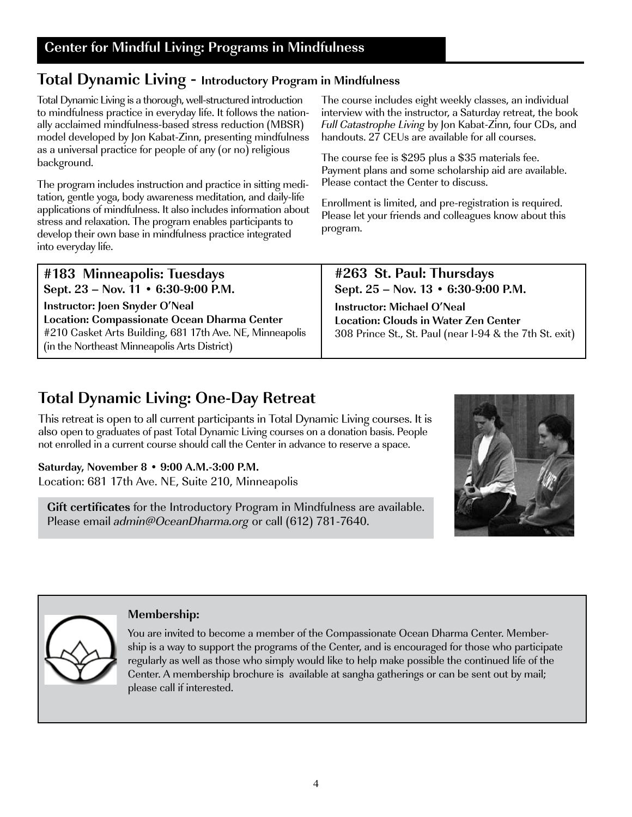## **Total Dynamic Living - Introductory Program in Mindfulness**

Total Dynamic Living is a thorough, well-structured introduction to mindfulness practice in everyday life. It follows the nationally acclaimed mindfulness-based stress reduction (MBSR) model developed by Jon Kabat-Zinn, presenting mindfulness as a universal practice for people of any (or no) religious background.

The program includes instruction and practice in sitting meditation, gentle yoga, body awareness meditation, and daily-life applications of mindfulness. It also includes information about stress and relaxation. The program enables participants to develop their own base in mindfulness practice integrated into everyday life.

The course includes eight weekly classes, an individual interview with the instructor, a Saturday retreat, the book Full Catastrophe Living by Jon Kabat-Zinn, four CDs, and handouts. 27 CEUs are available for all courses.

The course fee is \$295 plus a \$35 materials fee. Payment plans and some scholarship aid are available. Please contact the Center to discuss.

Enrollment is limited, and pre-registration is required. Please let your friends and colleagues know about this program.

| #183 Minneapolis: Tuesdays                               | #263 St. Paul: Thursdays                                    |
|----------------------------------------------------------|-------------------------------------------------------------|
| Sept. 23 – Nov. 11 • 6:30-9:00 P.M.                      | Sept. $25 - \text{Nov. } 13 \cdot 6:30 - 9:00 \text{ P.M.}$ |
| Instructor: Joen Snyder O'Neal                           | <b>Instructor: Michael O'Neal</b>                           |
| Location: Compassionate Ocean Dharma Center              | <b>Location: Clouds in Water Zen Center</b>                 |
| #210 Casket Arts Building, 681 17th Ave. NE, Minneapolis | 308 Prince St., St. Paul (near I-94 & the 7th St. exit)     |
| (in the Northeast Minneapolis Arts District)             |                                                             |

## **Total Dynamic Living: One-Day Retreat**

This retreat is open to all current participants in Total Dynamic Living courses. It is also open to graduates of past Total Dynamic Living courses on a donation basis. People not enrolled in a current course should call the Center in advance to reserve a space.

**Saturday, November 8 • 9:00 A.M.-3:00 P.M.** Location: 681 17th Ave. NE, Suite 210, Minneapolis

**Gift certificates** for the Introductory Program in Mindfulness are available. Please email admin@OceanDharma.org or call (612) 781-7640.





#### **Membership:**

You are invited to become a member of the Compassionate Ocean Dharma Center. Membership is a way to support the programs of the Center, and is encouraged for those who participate regularly as well as those who simply would like to help make possible the continued life of the Center. A membership brochure is available at sangha gatherings or can be sent out by mail; please call if interested.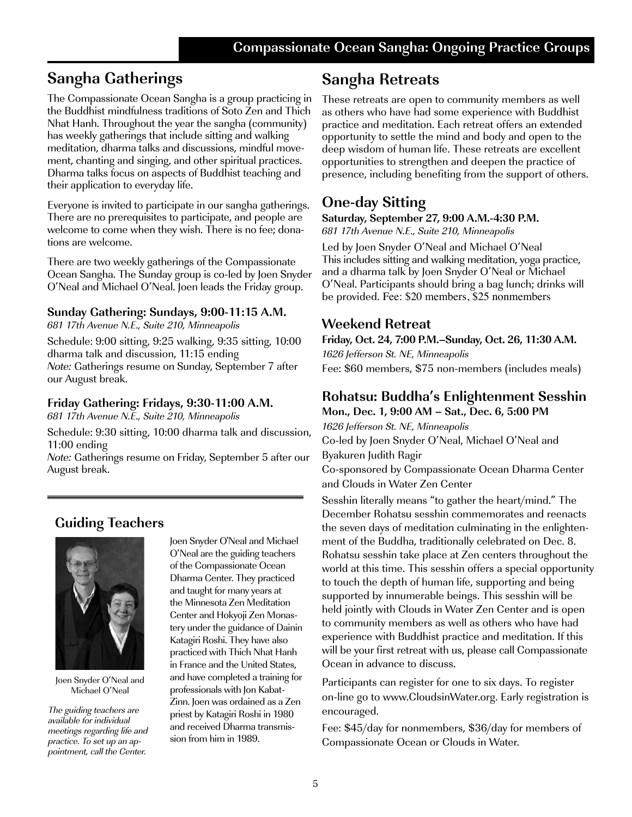## **Sangha Gatherings**

The Compassionate Ocean Sangha is a group practicing in the Buddhist mindfulness traditions of Soto Zen and Thich Nhat Hanh. Throughout the year the sangha (community) has weekly gatherings that include sitting and walking meditation, dharma talks and discussions, mindful movement, chanting and singing, and other spiritual practices. Dharma talks focus on aspects of Buddhist teaching and their application to everyday life.

Everyone is invited to participate in our sangha gatherings. There are no prerequisites to participate, and people are welcome to come when they wish. There is no fee; donations are welcome.

There are two weekly gatherings of the Compassionate Ocean Sangha. The Sunday group is co-led by Joen Snyder O'Neal and Michael O'Neal. Joen leads the Friday group.

#### **Sunday Gathering: Sundays, 9:00-11:15 A.M.**

681 17th Avenue N.E., Suite 210, Minneapolis

Schedule: 9:00 sitting, 9:25 walking, 9:35 sitting, 10:00 dharma talk and discussion, 11:15 ending Note: Gatherings resume on Sunday, September 7 after our August break.

#### **Friday Gathering: Fridays, 9:30-11:00 A.M.**

681 17th Avenue N.E., Suite 210, Minneapolis

Schedule: 9:30 sitting, 10:00 dharma talk and discussion, 11:00 ending

Note: Gatherings resume on Friday, September 5 after our August break.

## **Guiding Teachers**



Joen Snyder O'Neal and Michael O'Neal

The guiding teachers are available for individual meetings regarding life and practice. To set up an appointment, call the Center.

Joen Snyder O'Neal and Michael O'Neal are the guiding teachers of the Compassionate Ocean Dharma Center. They practiced and taught for many years at the Minnesota Zen Meditation Center and Hokyoji Zen Monastery under the guidance of Dainin Katagiri Roshi. They have also practiced with Thich Nhat Hanh in France and the United States, and have completed a training for professionals with Jon Kabat-Zinn. Joen was ordained as a Zen priest by Katagiri Roshi in 1980 and received Dharma transmission from him in 1989.

## **Sangha Retreats**

These retreats are open to community members as well as others who have had some experience with Buddhist practice and meditation. Each retreat offers an extended opportunity to settle the mind and body and open to the deep wisdom of human life. These retreats are excellent opportunities to strengthen and deepen the practice of presence, including benefiting from the support of others.

## **One-day Sitting**

**Saturday, September 27, 9:00 A.M.-4:30 P.M.**  681 17th Avenue N.E., Suite 210, Minneapolis

Led by Joen Snyder O'Neal and Michael O'Neal This includes sitting and walking meditation, yoga practice, and a dharma talk by Joen Snyder O'Neal or Michael O'Neal. Participants should bring a bag lunch; drinks will be provided. Fee: \$20 members, \$25 nonmembers

#### **Weekend Retreat**

**Friday, Oct. 24, 7:00 P.M.–Sunday, Oct. 26, 11:30 A.M.** 1626 Jefferson St. NE, Minneapolis

Fee: \$60 members, \$75 non-members (includes meals)

#### **Rohatsu: Buddha's Enlightenment Sesshin Mon., Dec. 1, 9:00 AM – Sat., Dec. 6, 5:00 PM**

1626 Jefferson St. NE, Minneapolis Co-led by Joen Snyder O'Neal, Michael O'Neal and Byakuren Judith Ragir

Co-sponsored by Compassionate Ocean Dharma Center and Clouds in Water Zen Center

Sesshin literally means "to gather the heart/mind." The December Rohatsu sesshin commemorates and reenacts the seven days of meditation culminating in the enlightenment of the Buddha, traditionally celebrated on Dec. 8. Rohatsu sesshin take place at Zen centers throughout the world at this time. This sesshin offers a special opportunity to touch the depth of human life, supporting and being supported by innumerable beings. This sesshin will be held jointly with Clouds in Water Zen Center and is open to community members as well as others who have had experience with Buddhist practice and meditation. If this will be your first retreat with us, please call Compassionate Ocean in advance to discuss.

Participants can register for one to six days. To register on-line go to www.CloudsinWater.org. Early registration is encouraged.

Fee: \$45/day for nonmembers, \$36/day for members of Compassionate Ocean or Clouds in Water.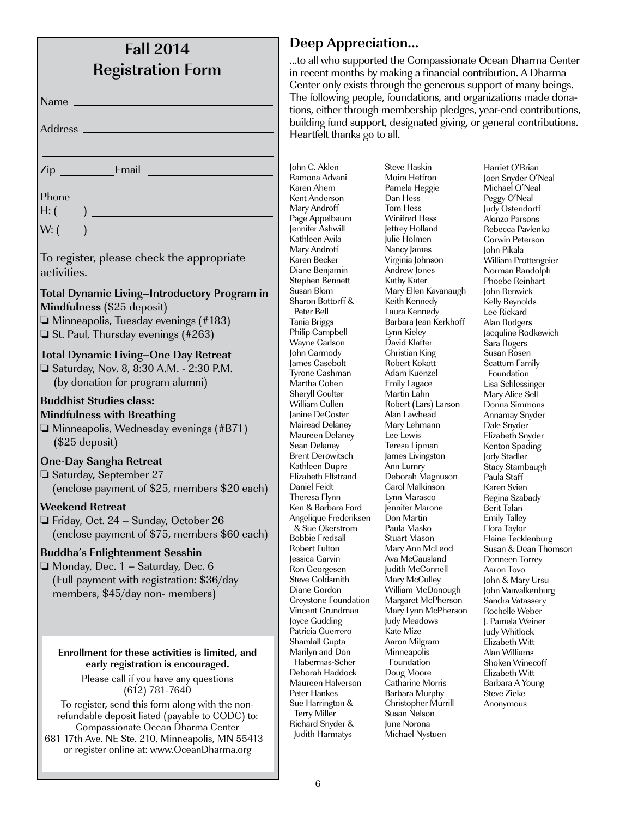| <b>Fall 2014</b><br><b>Registration Form</b>                                                                                            |  |
|-----------------------------------------------------------------------------------------------------------------------------------------|--|
|                                                                                                                                         |  |
|                                                                                                                                         |  |
| Address                                                                                                                                 |  |
|                                                                                                                                         |  |
| Email<br>Zip                                                                                                                            |  |
| Phone<br>H: (                                                                                                                           |  |
| W: (                                                                                                                                    |  |
| To register, please check the appropriate<br>activities.                                                                                |  |
| <b>Total Dynamic Living-Introductory Program in</b><br>Mindfulness (\$25 deposit)                                                       |  |
| $\Box$ Minneapolis, Tuesday evenings (#183)<br>$\Box$ St. Paul, Thursday evenings (#263)                                                |  |
| <b>Total Dynamic Living-One Day Retreat</b><br>□ Saturday, Nov. 8, 8:30 A.M. - 2:30 P.M.<br>(by donation for program alumni)            |  |
| <b>Buddhist Studies class:</b>                                                                                                          |  |
| <b>Mindfulness with Breathing</b><br>$\Box$ Minneapolis, Wednesday evenings (#B71)<br>$($25$ deposit)                                   |  |
| <b>One-Day Sangha Retreat</b>                                                                                                           |  |
| $\Box$ Saturday, September 27<br>(enclose payment of \$25, members \$20 each)                                                           |  |
| <b>Weekend Retreat</b><br>$\Box$ Friday, Oct. 24 – Sunday, October 26                                                                   |  |
| (enclose payment of \$75, members \$60 each)                                                                                            |  |
| <b>Buddha's Enlightenment Sesshin</b><br>□ Monday, Dec. 1 – Saturday, Dec. 6<br>(Full payment with registration: \$36/day               |  |
| members, \$45/day non- members)                                                                                                         |  |
|                                                                                                                                         |  |
| Enrollment for these activities is limited, and<br>early registration is encouraged.                                                    |  |
| Please call if you have any questions<br>$(612) 781 - 7640$                                                                             |  |
| To register, send this form along with the non-<br>refundable deposit listed (payable to CODC) to:<br>Compassionate Ocean Dharma Center |  |
| 681 17th Ave. NE Ste. 210, Minneapolis, MN 55413<br>or register online at: www.OceanDharma.org                                          |  |

### **Deep Appreciation…**

all who supported the Compassionate Ocean Dharma Center ecent months by making a financial contribution. A Dharma nter only exists through the generous support of many beings. e following people, foundations, and organizations made donais, either through membership pledges, year-end contributions, lding fund support, designated giving, or general contributions. artfelt thanks go to all.

C. Aklen nona Advani en Ahern t Anderson y Androff .<br>e Appelbaum ifer Ashwill hleen Avila v Androff .<br><sub>en Becker</sub> ne Benjamin Stephen Bennett an Blom ron Bottorff & ter Bell ia Briggs ip Campbell Wayne Carlson Carmody es Casebolt ne Cashman tha Cohen ryll Coulter iam Cullen ne DeCoster read Delaney **Ireen Delaney** n Delaney nt Derowitsch hleen Dupre abeth Elfstrand iel Feidt resa Flynn & Barbara Ford elique Frederiksen & Sue Okerstrom bie Fredsall ert Fulton ica Garvin **Georgesen** e Goldsmith ne Gordon ystone Foundation ent Grundman e Gudding icia Guerrero mlall Gupta ilyn and Don bermas-Scher Deborah Haddock ıreen Halverson er Hankes Harrington & rv Miller ard Snyder & lith Harmatys

Steve Haskin Moira Heffron Pamela Heggie Dan Hess Tom Hess Winifred Hess Jeffrey Holland Julie Holmen Nancy James Virginia Johnson Andrew Jones Kathy Kater Mary Ellen Kavanaugh Keith Kennedy Laura Kennedy Barbara Jean Kerkhoff Lynn Kieley David Klafter Christian King Robert Kokott Adam Kuenzel Emily Lagace Martin Lahn Robert (Lars) Larson Alan Lawhead Mary Lehmann Lee Lewis Teresa Lipman James Livingston Ann Lumry Deborah Magnuson Carol Malkinson Lynn Marasco Jennifer Marone Don Martin Paula Masko Stuart Mason Mary Ann McLeod Ava McCausland Judith McConnell Mary McCulley William McDonough Margaret McPherson Mary Lynn McPherson Judy Meadows Kate Mize Aaron Milgram **Minneapolis**  Foundation Doug Moore Catharine Morris Barbara Murphy Christopher Murrill Susan Nelson June Norona Michael Nystuen

Harriet O'Brian Joen Snyder O'Neal Michael O'Neal Peggy O'Neal Judy Ostendorff Alonzo Parsons Rebecca Pavlenko Corwin Peterson John Pikala William Prottengeier Norman Randolph Phoebe Reinhart John Renwick Kelly Reynolds Lee Rickard Alan Rodgers Jacquline Rodkewich Sara Rogers Susan Rosen Scattum Family Foundation Lisa Schlessinger Mary Alice Sell Donna Simmons Annamay Snyder Dale Snyder Elizabeth Snyder Kenton Spading Jody Stadler Stacy Stambaugh Paula Staff Karen Svien Regina Szabady Berit Talan Emily Talley Flora Taylor Elaine Tecklenburg Susan & Dean Thomson Donneen Torrey Aaron Tovo John & Mary Ursu John Vanvalkenburg Sandra Vatassery Rochelle Weber J. Pamela Weiner Judy Whitlock Elizabeth Witt Alan Williams Shoken Winecoff Elizabeth Witt Barbara A Young Steve Zieke Anonymous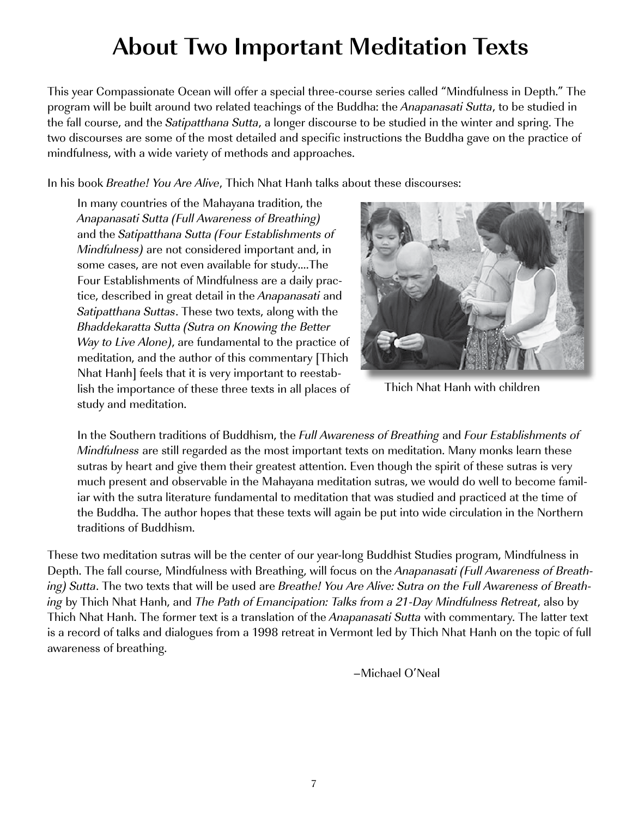# **About Two Important Meditation Texts**

This year Compassionate Ocean will offer a special three-course series called "Mindfulness in Depth." The program will be built around two related teachings of the Buddha: the Anapanasati Sutta, to be studied in the fall course, and the *Satipatthana Sutta*, a longer discourse to be studied in the winter and spring. The two discourses are some of the most detailed and specific instructions the Buddha gave on the practice of mindfulness, with a wide variety of methods and approaches.

In his book *Breathe! You Are Alive*, Thich Nhat Hanh talks about these discourses:

In many countries of the Mahayana tradition, the Anapanasati Sutta (Full Awareness of Breathing) and the Satipatthana Sutta (Four Establishments of Mindfulness) are not considered important and, in some cases, are not even available for study….The Four Establishments of Mindfulness are a daily practice, described in great detail in the Anapanasati and Satipatthana Suttas. These two texts, along with the Bhaddekaratta Sutta (Sutra on Knowing the Better Way to Live Alone), are fundamental to the practice of meditation, and the author of this commentary [Thich Nhat Hanh] feels that it is very important to reestablish the importance of these three texts in all places of study and meditation.



Thich Nhat Hanh with children

In the Southern traditions of Buddhism, the Full Awareness of Breathing and Four Establishments of Mindfulness are still regarded as the most important texts on meditation. Many monks learn these sutras by heart and give them their greatest attention. Even though the spirit of these sutras is very much present and observable in the Mahayana meditation sutras, we would do well to become familiar with the sutra literature fundamental to meditation that was studied and practiced at the time of the Buddha. The author hopes that these texts will again be put into wide circulation in the Northern traditions of Buddhism.

These two meditation sutras will be the center of our year-long Buddhist Studies program, Mindfulness in Depth. The fall course, Mindfulness with Breathing, will focus on the Anapanasati (Full Awareness of Breathing) Sutta. The two texts that will be used are Breathe! You Are Alive: Sutra on the Full Awareness of Breathing by Thich Nhat Hanh, and The Path of Emancipation: Talks from a 21-Day Mindfulness Retreat, also by Thich Nhat Hanh. The former text is a translation of the Anapanasati Sutta with commentary. The latter text is a record of talks and dialogues from a 1998 retreat in Vermont led by Thich Nhat Hanh on the topic of full awareness of breathing.

–Michael O'Neal